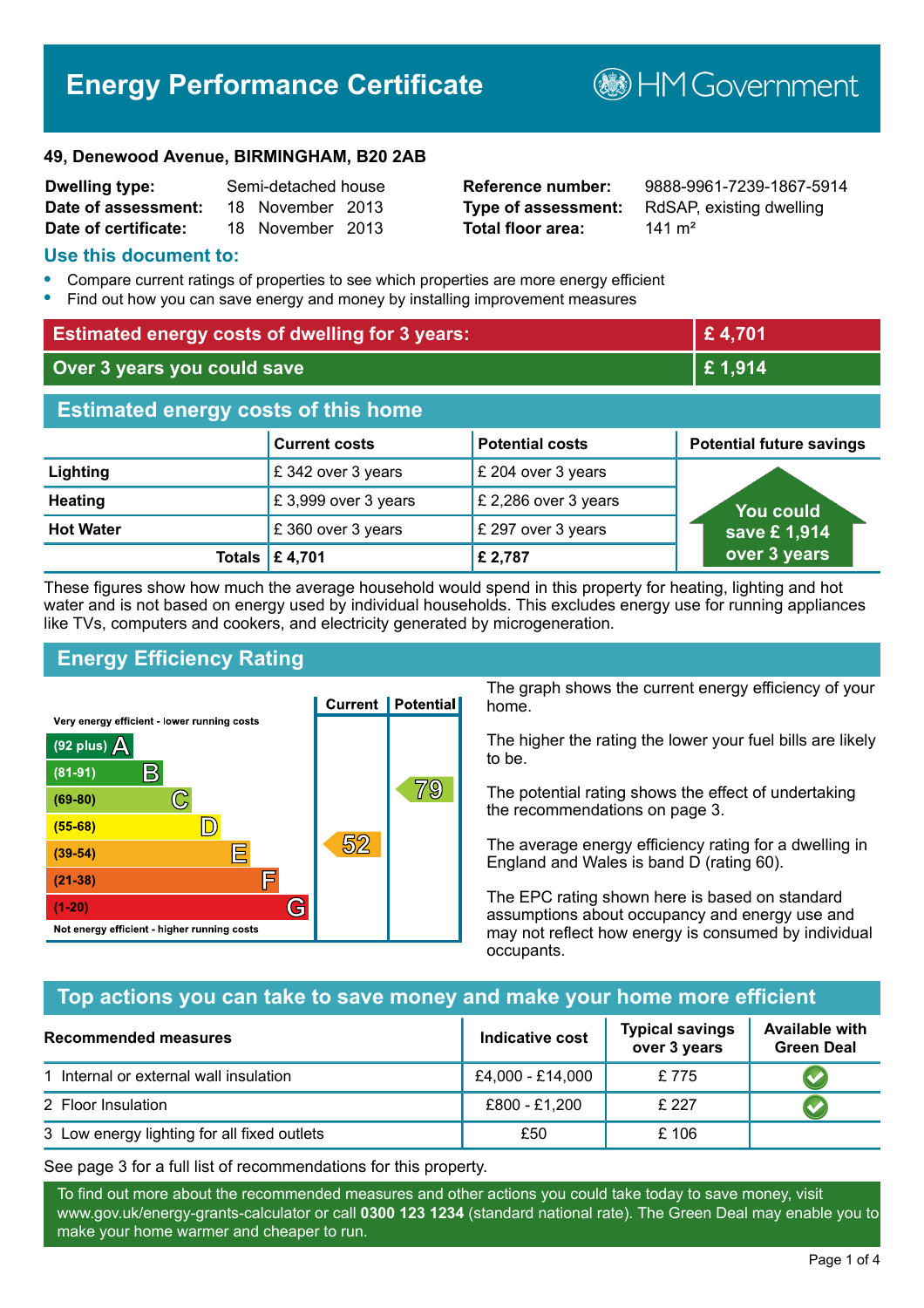# **Energy Performance Certificate**

**BHM Government** 

#### **49, Denewood Avenue, BIRMINGHAM, B20 2AB**

| <b>Dwelling type:</b> | Semi-detached house |                  |  |
|-----------------------|---------------------|------------------|--|
| Date of assessment:   |                     | 18 November 2013 |  |
| Date of certificate:  |                     | 18 November 2013 |  |

# **Total floor area:** 141 m<sup>2</sup>

**Reference number:** 9888-9961-7239-1867-5914 **Type of assessment:** RdSAP, existing dwelling

#### **Use this document to:**

- **•** Compare current ratings of properties to see which properties are more energy efficient
- **•** Find out how you can save energy and money by installing improvement measures

| <b>Estimated energy costs of dwelling for 3 years:</b> |                           |                        | £4,701                          |
|--------------------------------------------------------|---------------------------|------------------------|---------------------------------|
| Over 3 years you could save                            |                           | £1,914                 |                                 |
| <b>Estimated energy costs of this home</b>             |                           |                        |                                 |
|                                                        | <b>Current costs</b>      | <b>Potential costs</b> | <b>Potential future savings</b> |
| Lighting                                               | £342 over 3 years         | £ 204 over 3 years     |                                 |
| <b>Heating</b>                                         | £3,999 over 3 years       | £ 2,286 over 3 years   | <b>You could</b>                |
| <b>Hot Water</b>                                       | £360 over 3 years         | £ 297 over 3 years     | save £1,914                     |
|                                                        | Totals $\mathsf{E}$ 4,701 | £ 2,787                | over 3 years                    |

These figures show how much the average household would spend in this property for heating, lighting and hot water and is not based on energy used by individual households. This excludes energy use for running appliances like TVs, computers and cookers, and electricity generated by microgeneration.

# **Energy Efficiency Rating**



The graph shows the current energy efficiency of your home.

The higher the rating the lower your fuel bills are likely to be.

The potential rating shows the effect of undertaking the recommendations on page 3.

The average energy efficiency rating for a dwelling in England and Wales is band D (rating 60).

The EPC rating shown here is based on standard assumptions about occupancy and energy use and may not reflect how energy is consumed by individual occupants.

# **Top actions you can take to save money and make your home more efficient**

| Recommended measures                        | <b>Indicative cost</b> | <b>Typical savings</b><br>over 3 years | <b>Available with</b><br><b>Green Deal</b> |
|---------------------------------------------|------------------------|----------------------------------------|--------------------------------------------|
| 1 Internal or external wall insulation      | £4,000 - £14,000       | £775                                   |                                            |
| 2 Floor Insulation                          | £800 - £1,200          | £ 227                                  |                                            |
| 3 Low energy lighting for all fixed outlets | £50                    | £106                                   |                                            |

See page 3 for a full list of recommendations for this property.

To find out more about the recommended measures and other actions you could take today to save money, visit www.gov.uk/energy-grants-calculator or call **0300 123 1234** (standard national rate). The Green Deal may enable you to make your home warmer and cheaper to run.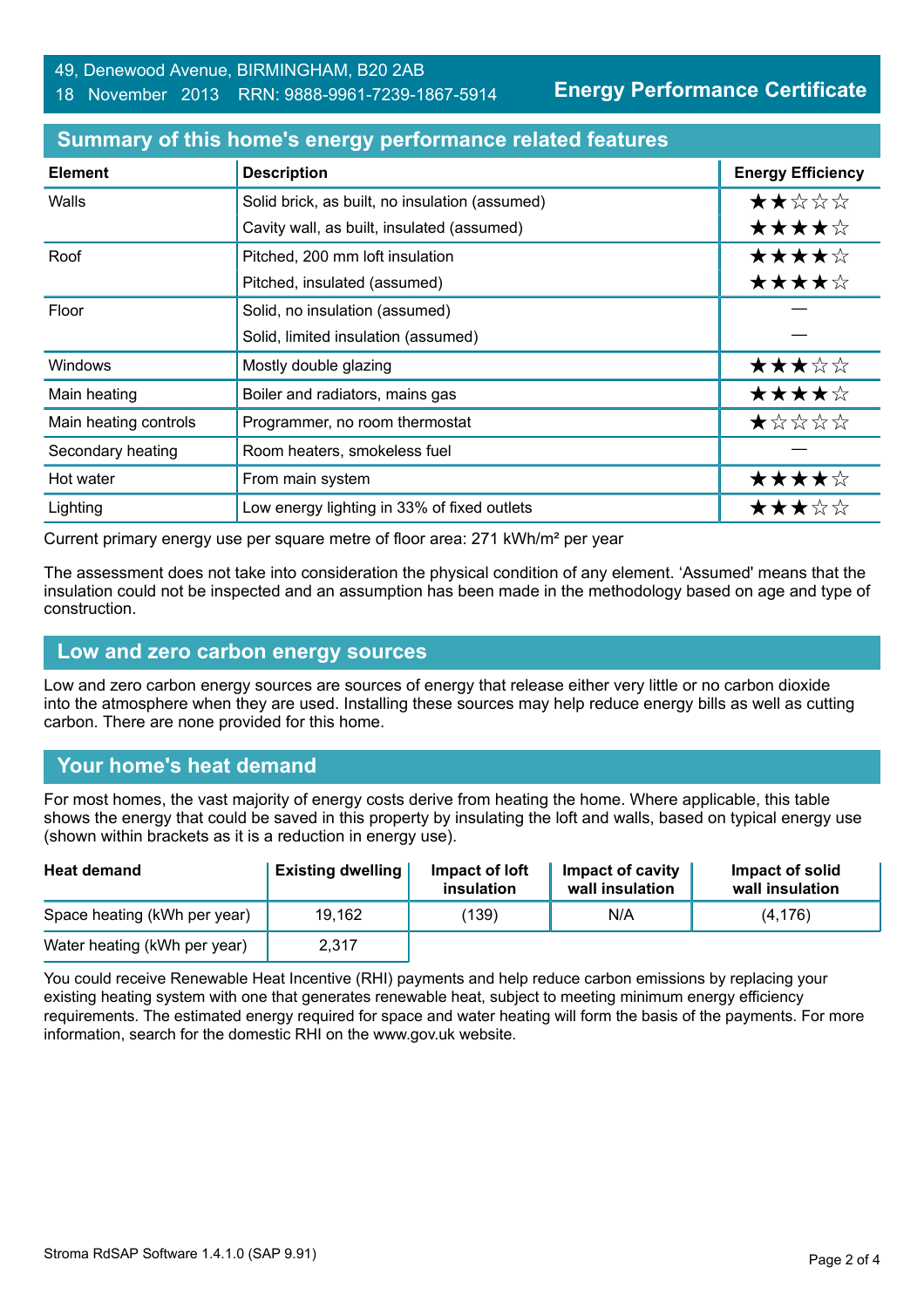#### 18 November 2013 RRN: 9888-9961-7239-1867-5914

**Energy Performance Certificate**

| <b>Element</b>        | <b>Description</b>                             | <b>Energy Efficiency</b> |
|-----------------------|------------------------------------------------|--------------------------|
| Walls                 | Solid brick, as built, no insulation (assumed) | ★★☆☆☆                    |
|                       | Cavity wall, as built, insulated (assumed)     | ★★★★☆                    |
| Roof                  | Pitched, 200 mm loft insulation                | ★★★★☆                    |
|                       | Pitched, insulated (assumed)                   | ★★★★☆                    |
| Floor                 | Solid, no insulation (assumed)                 |                          |
|                       | Solid, limited insulation (assumed)            |                          |
| Windows               | Mostly double glazing                          | ★★★☆☆                    |
| Main heating          | Boiler and radiators, mains gas                | ★★★★☆                    |
| Main heating controls | Programmer, no room thermostat                 | ★☆☆☆☆                    |
| Secondary heating     | Room heaters, smokeless fuel                   |                          |
| Hot water             | From main system                               | ★★★★☆                    |
| Lighting              | Low energy lighting in 33% of fixed outlets    | ★★★☆☆                    |

#### **Summary of this home's energy performance related features**

Current primary energy use per square metre of floor area: 271 kWh/m² per year

The assessment does not take into consideration the physical condition of any element. 'Assumed' means that the insulation could not be inspected and an assumption has been made in the methodology based on age and type of construction.

#### **Low and zero carbon energy sources**

Low and zero carbon energy sources are sources of energy that release either very little or no carbon dioxide into the atmosphere when they are used. Installing these sources may help reduce energy bills as well as cutting carbon. There are none provided for this home.

# **Your home's heat demand**

For most homes, the vast majority of energy costs derive from heating the home. Where applicable, this table shows the energy that could be saved in this property by insulating the loft and walls, based on typical energy use (shown within brackets as it is a reduction in energy use).

| <b>Heat demand</b>           | <b>Existing dwelling</b> | Impact of loft<br>insulation | <b>Impact of cavity</b><br>wall insulation | Impact of solid<br>wall insulation |
|------------------------------|--------------------------|------------------------------|--------------------------------------------|------------------------------------|
| Space heating (kWh per year) | 19,162                   | (139)                        | N/A                                        | (4, 176)                           |
| Water heating (kWh per year) | 2,317                    |                              |                                            |                                    |

You could receive Renewable Heat Incentive (RHI) payments and help reduce carbon emissions by replacing your existing heating system with one that generates renewable heat, subject to meeting minimum energy efficiency requirements. The estimated energy required for space and water heating will form the basis of the payments. For more information, search for the domestic RHI on the www.gov.uk website.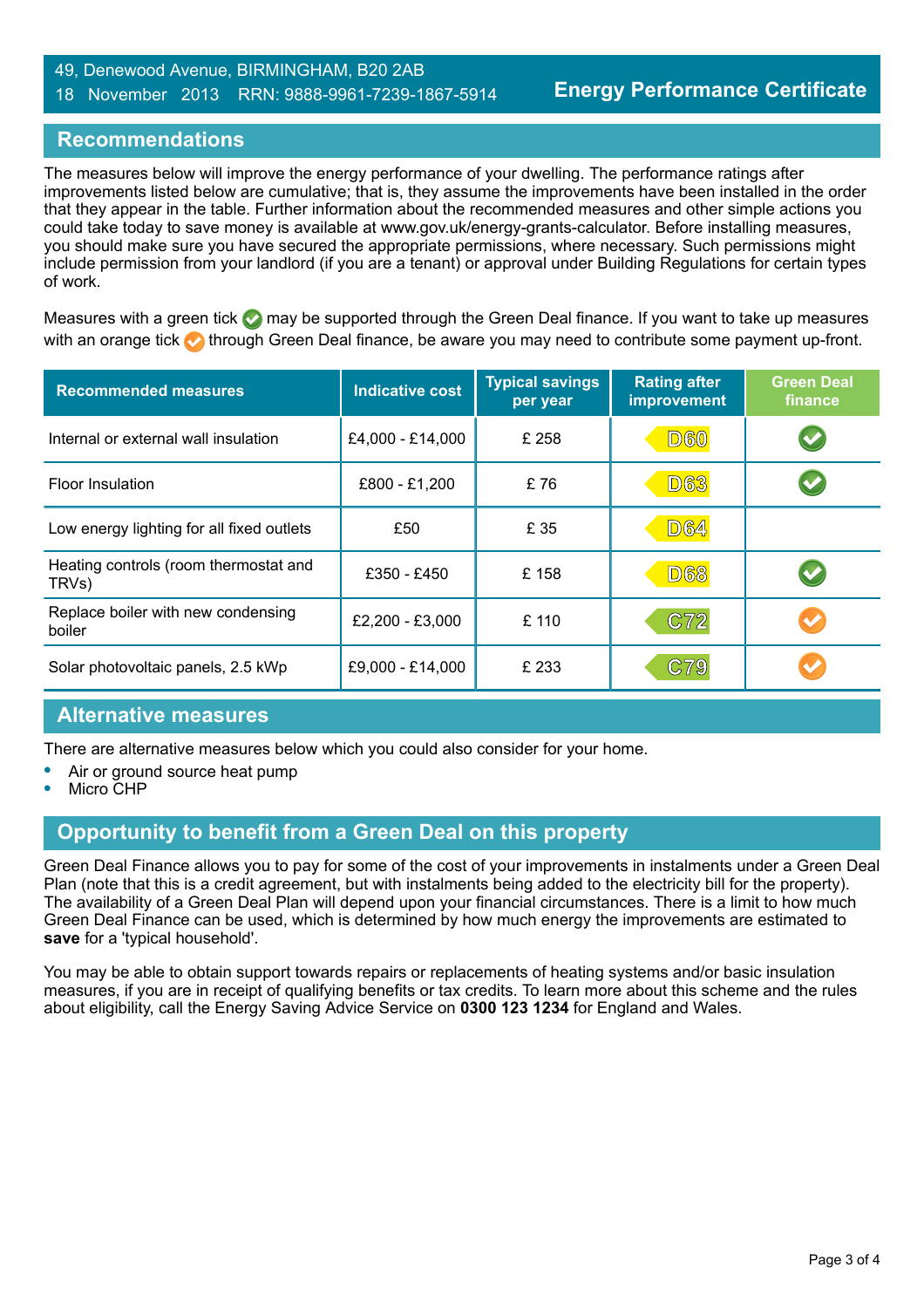#### 49, Denewood Avenue, BIRMINGHAM, B20 2AB 18 November 2013 RRN: 9888-9961-7239-1867-5914

#### **Recommendations**

The measures below will improve the energy performance of your dwelling. The performance ratings after improvements listed below are cumulative; that is, they assume the improvements have been installed in the order that they appear in the table. Further information about the recommended measures and other simple actions you could take today to save money is available at www.gov.uk/energy-grants-calculator. Before installing measures, you should make sure you have secured the appropriate permissions, where necessary. Such permissions might include permission from your landlord (if you are a tenant) or approval under Building Regulations for certain types of work.

Measures with a green tick  $\bullet$  may be supported through the Green Deal finance. If you want to take up measures with an orange tick **th** through Green Deal finance, be aware you may need to contribute some payment up-front.

| <b>Recommended measures</b>                    | <b>Indicative cost</b> | <b>Typical savings</b><br>per year | <b>Rating after</b><br><b>improvement</b> | <b>Green Deal</b><br>finance |
|------------------------------------------------|------------------------|------------------------------------|-------------------------------------------|------------------------------|
| Internal or external wall insulation           | £4,000 - £14,000       | £ 258                              | <b>D60</b>                                | $\blacktriangledown$         |
| <b>Floor Insulation</b>                        | £800 - £1,200          | £76                                | <b>D63</b>                                | $\blacktriangledown$         |
| Low energy lighting for all fixed outlets      | £50                    | £ 35                               | <b>D64</b>                                |                              |
| Heating controls (room thermostat and<br>TRVs) | £350 - £450            | £158                               | <b>D68</b>                                | $\blacktriangledown$         |
| Replace boiler with new condensing<br>boiler   | £2,200 - £3,000        | £ 110                              | C72                                       |                              |
| Solar photovoltaic panels, 2.5 kWp             | £9,000 - £14,000       | £ 233                              | C79                                       |                              |

#### **Alternative measures**

There are alternative measures below which you could also consider for your home.

- **•** Air or ground source heat pump
- **•** Micro CHP

# **Opportunity to benefit from a Green Deal on this property**

Green Deal Finance allows you to pay for some of the cost of your improvements in instalments under a Green Deal Plan (note that this is a credit agreement, but with instalments being added to the electricity bill for the property). The availability of a Green Deal Plan will depend upon your financial circumstances. There is a limit to how much Green Deal Finance can be used, which is determined by how much energy the improvements are estimated to **save** for a 'typical household'.

You may be able to obtain support towards repairs or replacements of heating systems and/or basic insulation measures, if you are in receipt of qualifying benefits or tax credits. To learn more about this scheme and the rules about eligibility, call the Energy Saving Advice Service on **0300 123 1234** for England and Wales.